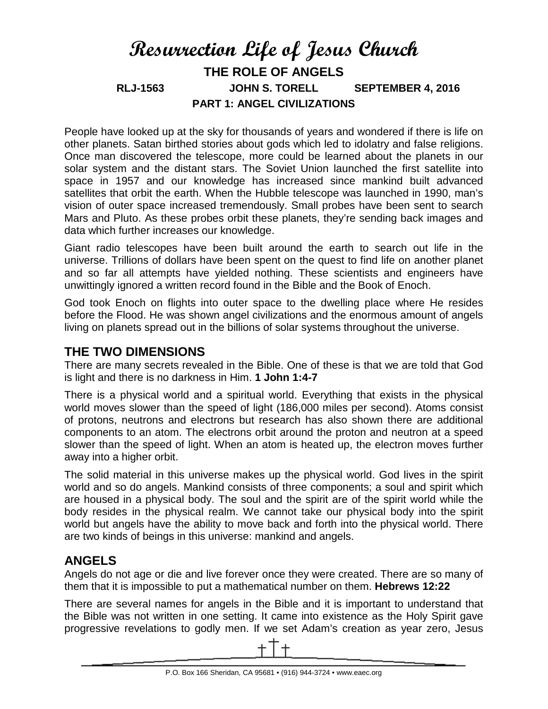# **Resurrection Life of Jesus Church THE ROLE OF ANGELS RLJ-1563 JOHN S. TORELL SEPTEMBER 4, 2016 PART 1: ANGEL CIVILIZATIONS**

People have looked up at the sky for thousands of years and wondered if there is life on other planets. Satan birthed stories about gods which led to idolatry and false religions. Once man discovered the telescope, more could be learned about the planets in our solar system and the distant stars. The Soviet Union launched the first satellite into space in 1957 and our knowledge has increased since mankind built advanced satellites that orbit the earth. When the Hubble telescope was launched in 1990, man's vision of outer space increased tremendously. Small probes have been sent to search Mars and Pluto. As these probes orbit these planets, they're sending back images and data which further increases our knowledge.

Giant radio telescopes have been built around the earth to search out life in the universe. Trillions of dollars have been spent on the quest to find life on another planet and so far all attempts have yielded nothing. These scientists and engineers have unwittingly ignored a written record found in the Bible and the Book of Enoch.

God took Enoch on flights into outer space to the dwelling place where He resides before the Flood. He was shown angel civilizations and the enormous amount of angels living on planets spread out in the billions of solar systems throughout the universe.

#### **THE TWO DIMENSIONS**

There are many secrets revealed in the Bible. One of these is that we are told that God is light and there is no darkness in Him. **1 John 1:4-7**

There is a physical world and a spiritual world. Everything that exists in the physical world moves slower than the speed of light (186,000 miles per second). Atoms consist of protons, neutrons and electrons but research has also shown there are additional components to an atom. The electrons orbit around the proton and neutron at a speed slower than the speed of light. When an atom is heated up, the electron moves further away into a higher orbit.

The solid material in this universe makes up the physical world. God lives in the spirit world and so do angels. Mankind consists of three components; a soul and spirit which are housed in a physical body. The soul and the spirit are of the spirit world while the body resides in the physical realm. We cannot take our physical body into the spirit world but angels have the ability to move back and forth into the physical world. There are two kinds of beings in this universe: mankind and angels.

## **ANGELS**

Angels do not age or die and live forever once they were created. There are so many of them that it is impossible to put a mathematical number on them. **Hebrews 12:22**

There are several names for angels in the Bible and it is important to understand that the Bible was not written in one setting. It came into existence as the Holy Spirit gave progressive revelations to godly men. If we set Adam's creation as year zero, Jesus

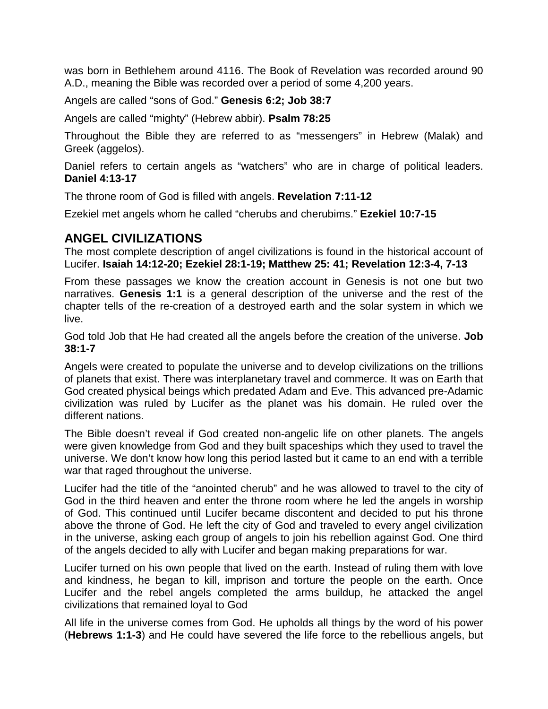was born in Bethlehem around 4116. The Book of Revelation was recorded around 90 A.D., meaning the Bible was recorded over a period of some 4,200 years.

Angels are called "sons of God." **Genesis 6:2; Job 38:7**

Angels are called "mighty" (Hebrew abbir). **Psalm 78:25**

Throughout the Bible they are referred to as "messengers" in Hebrew (Malak) and Greek (aggelos).

Daniel refers to certain angels as "watchers" who are in charge of political leaders. **Daniel 4:13-17**

The throne room of God is filled with angels. **Revelation 7:11-12**

Ezekiel met angels whom he called "cherubs and cherubims." **Ezekiel 10:7-15**

## **ANGEL CIVILIZATIONS**

The most complete description of angel civilizations is found in the historical account of Lucifer. **Isaiah 14:12-20; Ezekiel 28:1-19; Matthew 25: 41; Revelation 12:3-4, 7-13**

From these passages we know the creation account in Genesis is not one but two narratives. **Genesis 1:1** is a general description of the universe and the rest of the chapter tells of the re-creation of a destroyed earth and the solar system in which we live.

God told Job that He had created all the angels before the creation of the universe. **Job 38:1-7**

Angels were created to populate the universe and to develop civilizations on the trillions of planets that exist. There was interplanetary travel and commerce. It was on Earth that God created physical beings which predated Adam and Eve. This advanced pre-Adamic civilization was ruled by Lucifer as the planet was his domain. He ruled over the different nations.

The Bible doesn't reveal if God created non-angelic life on other planets. The angels were given knowledge from God and they built spaceships which they used to travel the universe. We don't know how long this period lasted but it came to an end with a terrible war that raged throughout the universe.

Lucifer had the title of the "anointed cherub" and he was allowed to travel to the city of God in the third heaven and enter the throne room where he led the angels in worship of God. This continued until Lucifer became discontent and decided to put his throne above the throne of God. He left the city of God and traveled to every angel civilization in the universe, asking each group of angels to join his rebellion against God. One third of the angels decided to ally with Lucifer and began making preparations for war.

Lucifer turned on his own people that lived on the earth. Instead of ruling them with love and kindness, he began to kill, imprison and torture the people on the earth. Once Lucifer and the rebel angels completed the arms buildup, he attacked the angel civilizations that remained loyal to God

All life in the universe comes from God. He upholds all things by the word of his power (**Hebrews 1:1-3**) and He could have severed the life force to the rebellious angels, but